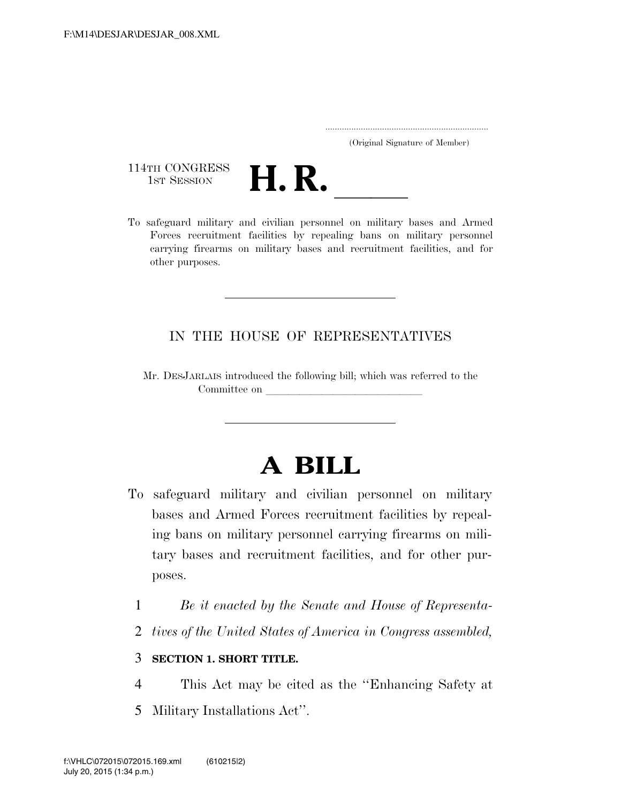| (Original Signature of Member) |  |
|--------------------------------|--|

114TH CONGRESS<br>1st Session



114TH CONGRESS<br>1st SESSION **H. R.** <u>Indican personnel on military</u> bases and Armed Forces recruitment facilities by repealing bans on military personnel carrying firearms on military bases and recruitment facilities, and for other purposes.

## IN THE HOUSE OF REPRESENTATIVES

Mr. DESJARLAIS introduced the following bill; which was referred to the Committee on

## **A BILL**

- To safeguard military and civilian personnel on military bases and Armed Forces recruitment facilities by repealing bans on military personnel carrying firearms on military bases and recruitment facilities, and for other purposes.
	- 1 *Be it enacted by the Senate and House of Representa-*
	- 2 *tives of the United States of America in Congress assembled,*

## 3 **SECTION 1. SHORT TITLE.**

- 4 This Act may be cited as the ''Enhancing Safety at
- 5 Military Installations Act''.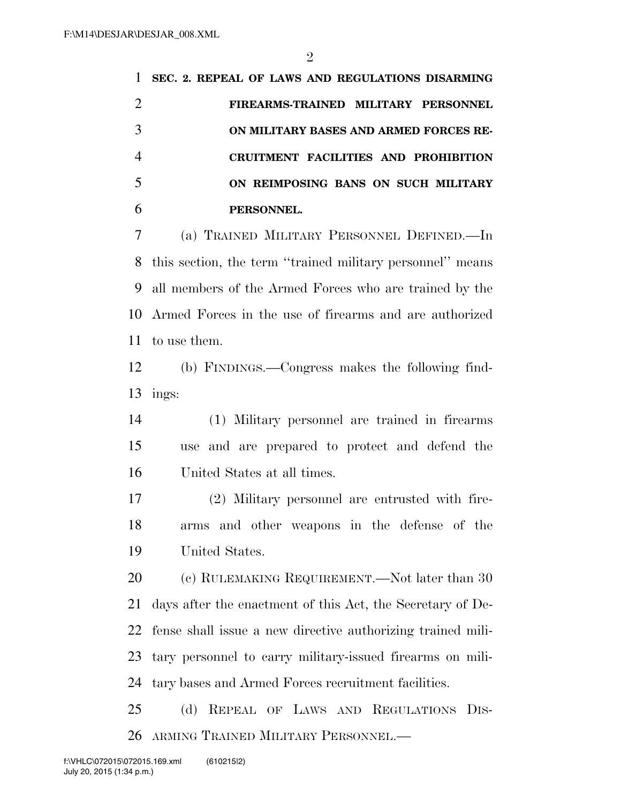**SEC. 2. REPEAL OF LAWS AND REGULATIONS DISARMING FIREARMS-TRAINED MILITARY PERSONNEL ON MILITARY BASES AND ARMED FORCES RE- CRUITMENT FACILITIES AND PROHIBITION ON REIMPOSING BANS ON SUCH MILITARY PERSONNEL.** 

 (a) TRAINED MILITARY PERSONNEL DEFINED.—In this section, the term ''trained military personnel'' means all members of the Armed Forces who are trained by the Armed Forces in the use of firearms and are authorized to use them.

 (b) FINDINGS.—Congress makes the following find-13 ings:

 (1) Military personnel are trained in firearms use and are prepared to protect and defend the United States at all times.

 (2) Military personnel are entrusted with fire- arms and other weapons in the defense of the United States.

20 (c) RULEMAKING REQUIREMENT.—Not later than 30 days after the enactment of this Act, the Secretary of De- fense shall issue a new directive authorizing trained mili- tary personnel to carry military-issued firearms on mili-tary bases and Armed Forces recruitment facilities.

 (d) REPEAL OF LAWS AND REGULATIONS DIS-ARMING TRAINED MILITARY PERSONNEL.—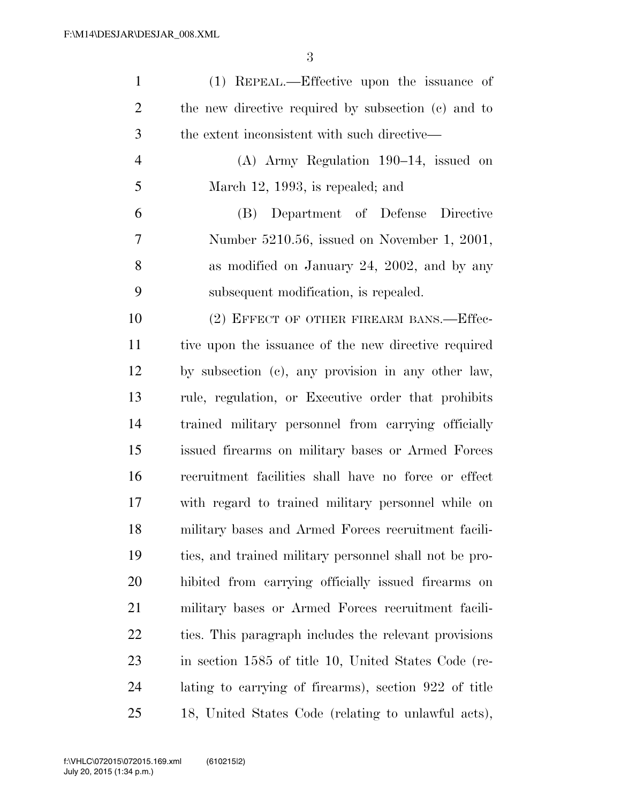| $\mathbf{1}$   | (1) REPEAL.—Effective upon the issuance of             |
|----------------|--------------------------------------------------------|
| $\overline{2}$ | the new directive required by subsection (c) and to    |
| 3              | the extent inconsistent with such directive—           |
| 4              | $(A)$ Army Regulation 190–14, issued on                |
| 5              | March 12, 1993, is repealed; and                       |
| 6              | (B) Department of Defense Directive                    |
| 7              | Number 5210.56, issued on November 1, 2001,            |
| 8              | as modified on January 24, 2002, and by any            |
| 9              | subsequent modification, is repealed.                  |
| 10             | (2) EFFECT OF OTHER FIREARM BANS.—Effec-               |
| 11             | tive upon the issuance of the new directive required   |
| 12             | by subsection (c), any provision in any other law,     |
| 13             | rule, regulation, or Executive order that prohibits    |
| 14             | trained military personnel from carrying officially    |
| 15             | issued firearms on military bases or Armed Forces      |
| 16             | recruitment facilities shall have no force or effect   |
| 17             | with regard to trained military personnel while on     |
| 18             | military bases and Armed Forces recruitment facili-    |
| 19             | ties, and trained military personnel shall not be pro- |
| <b>20</b>      | hibited from carrying officially issued firearms on    |
| 21             | military bases or Armed Forces recruitment facili-     |
| 22             | ties. This paragraph includes the relevant provisions  |
| 23             | in section 1585 of title 10, United States Code (re-   |
| 24             | lating to carrying of firearms), section 922 of title  |
| 25             | 18, United States Code (relating to unlawful acts),    |